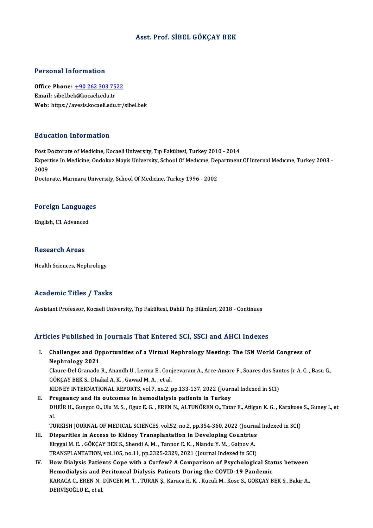#### Asst. Prof. SİBEL GÖKÇAY BEK

#### Personal Information

Personal Information<br>Office Phone: <u>+90 262 303 7522</u><br>Email: sibel bel:@keseeli.edu.tr Procession internation<br>Office Phone: <u>+90 262 303 75</u><br>Email: sibel.be[k@kocaeli.edu.tr](tel:+90 262 303 7522) Email: sibel.bek@kocaeli.edu.tr<br>Web: https://avesis.kocaeli.edu.tr/sibel.bek

#### Education Information

Post Doctorate of Medicine, Kocaeli University, Tıp Fakültesi, Turkey 2010 - 2014 Eu d'oderon Throf Inderon<br>Post Doctorate of Medicine, Kocaeli University, Tıp Fakültesi, Turkey 2010 - 2014<br>Expertise In Medicine, Ondokuz Mayis University, School Of Medıcıne, Department Of Internal Medıcıne, Turkey 2003 Post <mark>L</mark><br>Exper<br>2009<br>Deste Expertise In Medicine, Ondokuz Mayis University, School Of Medicine, Dej<br>2009<br>Doctorate, Marmara University, School Of Medicine, Turkey 1996 - 2002

# **Doctorate, Marmara University**<br>Foreign Languages F<mark>oreign Languag</mark>e<br>English, C1 Advanced

English, C1 Advanced<br>Research Areas

Health Sciences, Nephrology

#### Academic Titles / Tasks

Assistant Professor, Kocaeli University, Tıp Fakültesi, Dahili Tıp Bilimleri, 2018 - Continues

### Articles Published in Journals That Entered SCI, SSCI and AHCI Indexes

rticles Published in Journals That Entered SCI, SSCI and AHCI Indexes<br>I. Challenges and Opportunities of a Virtual Nephrology Meeting: The ISN World Congress of<br>Nophrology 2021 Nephrology 2021<br>Nephrology 2021<br>Clause Del Cranade Challenges and Opportunities of a Virtual Nephrology Meeting: The ISN World Congress of<br>Nephrology 2021<br>Claure-Del Granado R., Anandh U., Lerma E., Conjeevaram A., Arce-Amare F., Soares dos Santos Jr A. C. , Basu G.,<br>CÖKCA

Nephrology 2021<br>Claure-Del Granado R., Anandh U., Lerma E., Con<br>GÖKÇAY BEK S., Dhakal A. K. , Gawad M. A. , et al.<br>KIDNEY INTERNATIONAL REPORTS, vol 7, no.3, t Claure-Del Granado R., Anandh U., Lerma E., Conjeevaram A., Arce-Amare F., Soares dos Sar<br>GÖKÇAY BEK S., Dhakal A. K. , Gawad M. A. , et al.<br>KIDNEY INTERNATIONAL REPORTS, vol.7, no.2, pp.133-137, 2022 (Journal Indexed in S

GÖKÇAY BEK S., Dhakal A. K. , Gawad M. A. , et al.<br>KIDNEY INTERNATIONAL REPORTS, vol.7, no.2, pp.133-137, 2022 (Journal Indexed in SCI)<br>II. Pregnancy and its outcomes in hemodialysis patients in Turkey

KIDNEY INTERNATIONAL REPORTS, vol.7, no.2, pp.133-137, 2022 (Journal Indexed in SCI)<br><mark>Pregnancy and its outcomes in hemodialysis patients in Turkey</mark><br>DHEİR H., Gungor O., Ulu M. S. , Oguz E. G. , EREN N., ALTUNÖREN O., Tata Pr<br>DH<br>al.<br>TU DHEİR H., Gungor O., Ulu M. S. , Oguz E. G. , EREN N., ALTUNÖREN O., Tatar E., Atilgan K. G. , Karakose<br>al.<br>TURKISH JOURNAL OF MEDICAL SCIENCES, vol.52, no.2, pp.354-360, 2022 (Journal Indexed in SCI)<br>Dispositios in Assess

- al.<br>TURKISH JOURNAL OF MEDICAL SCIENCES, vol.52, no.2, pp.354-360, 2022 (Journa<br>III. Disparities in Access to Kidney Transplantation in Developing Countries<br>Firscel M.E. COVCAV PEV S. Shandi A.M. Tanner E.V. Nlandu V.M. Ce TURKISH JOURNAL OF MEDICAL SCIENCES, vol.52, no.2, pp.354-360, 2022 (Journ<br>Disparities in Access to Kidney Transplantation in Developing Countries<br>Elrggal M. E. , GÖKÇAY BEK S., Shendi A. M. , Tannor E. K. , Nlandu Y. M. , Disparities in Access to Kidney Transplantation in Developing Countries<br>Elrggal M. E., GÖKÇAY BEK S., Shendi A. M., Tannor E. K., Nlandu Y. M., Gaipov A.<br>TRANSPLANTATION, vol.105, no.11, pp.2325-2329, 2021 (Journal Indexed Elrggal M. E., GÖKÇAY BEK S., Shendi A. M., Tannor E. K., Nlandu Y. M., Gaipov A.<br>TRANSPLANTATION, vol.105, no.11, pp.2325-2329, 2021 (Journal Indexed in SCI)<br>IV. How Dialysis Patients Cope with a Curfew? A Comparison of P
- TRANSPLANTATION, vol.105, no.11, pp.2325-2329, 2021 (Journal Indexed in SCI)<br>How Dialysis Patients Cope with a Curfew? A Comparison of Psychological Sta<br>Hemodialysis and Peritoneal Dialysis Patients During the COVID-19 Pan How Dialysis Patients Cope with a Curfew? A Comparison of Psychological Status between<br>Hemodialysis and Peritoneal Dialysis Patients During the COVID-19 Pandemic<br>KARACA C., EREN N., DİNCER M. T. , TURAN Ş., Karaca H. K. , Hemodialysis and Peritoneal Dialysis Patients During the COVID-19 Pandemic<br>KARACA C., EREN N., DİNCER M. T. , TURAN Ş., Karaca H. K. , Kucuk M., Kose S., GÖKÇAY BEK S., Bakir A.,<br>DERVİŞOĞLU E., et al.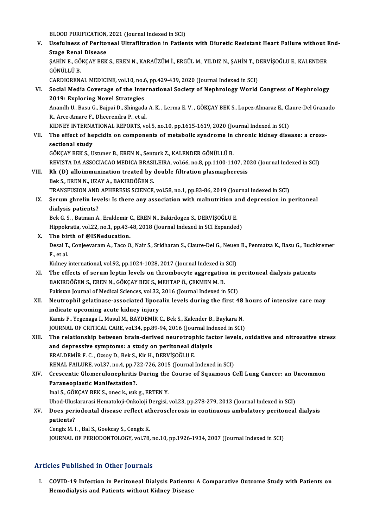BLOOD PURIFICATION, 2021 (Journal Indexed in SCI)

BLOOD PURIFICATION, 2021 (Journal Indexed in SCI)<br>V. Usefulness of Peritoneal Ultrafiltration in Patients with Diuretic Resistant Heart Failure without End-<br>Stage Penel Disease **BLOOD PURIFICATION,<br>Usefulness of Perito:<br>Stage Renal Disease**<br>SAHINE COVCAV PEV Usefulness of Peritoneal Ultrafiltration in Patients with Diuretic Resistant Heart Failure without I<br>Stage Renal Disease<br>ŞAHİN E., GÖKÇAY BEK S., EREN N., KARAÜZÜM İ., ERGÜL M., YILDIZ N., ŞAHİN T., DERVİŞOĞLU E., KALENDER <mark>Stage Renal</mark><br>ŞAHİN E., GÖ<br>GÖNÜLLÜ B.<br>CARDIOREN ŞAHİN E., GÖKÇAY BEK S., EREN N., KARAÜZÜM İ., ERGÜL M., YILDIZ N., ŞAHİN T., D<br>GÖNÜLLÜ B.<br>CARDIORENAL MEDICINE, vol.10, no.6, pp.429-439, 2020 (Journal Indexed in SCI)<br>Social Modia Coverage of the International Society of GÖNÜLLÜ B.<br>CARDIORENAL MEDICINE, vol.10, no.6, pp.429-439, 2020 (Journal Indexed in SCI)<br>VI. Social Media Coverage of the International Society of Nephrology World Congress of Nephrology<br>2010: Exploring Novel Stratogie CARDIORENAL MEDICINE, vol.10, no.6<br>Social Media Coverage of the Inte<br>2019: Exploring Novel Strategies Social Media Coverage of the International Society of Nephrology World Congress of Nephrology<br>2019: Exploring Novel Strategies<br>Anandh U., Basu G., Bajpai D., Shingada A.K. , Lerma E.V. , GÖKÇAY BEK S., Lopez-Almaraz E., Cl 2019: Exploring Novel Strategies<br>Anandh U., Basu G., Bajpai D., Shingada<br>R., Arce-Amare F., Dheerendra P., et al.<br>KIDNEV INTERNATIONAL REPORTS, V. Anandh U., Basu G., Bajpai D., Shingada A. K. , Lerma E. V. , GÖKÇAY BEK S., Lopez-Almaraz E., Cla<br>R., Arce-Amare F., Dheerendra P., et al.<br>KIDNEY INTERNATIONAL REPORTS, vol.5, no.10, pp.1615-1619, 2020 (Journal Indexed in R., Arce-Amare F., Dheerendra P., et al.<br>KIDNEY INTERNATIONAL REPORTS, vol.5, no.10, pp.1615-1619, 2020 (Journal Indexed in SCI)<br>VII. The effect of hepcidin on components of metabolic syndrome in chronic kidney disease KIDNEY INTERNA<br>The effect of he<br>sectional study<br>CÖVCAV PEV S. U VII. The effect of hepcidin on components of metabolic syndrome in chronic kidney disease: a cross-<br>sectional study<br>GÖKÇAY BEK S., Ustuner B., EREN N., Senturk Z., KALENDER GÖNÜLLÜ B. sectional study<br>GÖKÇAY BEK S., Ustuner B., EREN N., Senturk Z., KALENDER GÖNÜLLÜ B.<br>REVISTA DA ASSOCIACAO MEDICA BRASILEIRA, vol.66, no.8, pp.1100-1107, 2020 (Journal Indexed in SCI)<br>Ph. (D.) alleimmunization treated by do VIII. Rh (D) alloimmunization treated by double filtration plasmapheresis<br>Bek S., EREN N., UZAY A., BAKIRDÖĞEN S. REVISTA DA ASSOCIACAO MEDICA BRASI<br>**Rh (D) alloimmunization treated by (Bek S., EREN N., UZAY A., BAKIRDÖĞEN S.**<br>TRANSELISION AND ADHEDESIS SCIENCE Rh (D) alloimmunization treated by double filtration plasmapheresis<br>Bek S., EREN N., UZAY A., BAKIRDÖĞEN S.<br>TRANSFUSION AND APHERESIS SCIENCE, vol.58, no.1, pp.83-86, 2019 (Journal Indexed in SCI)<br>Serum shrelin levelsy Is Bek S., EREN N., UZAY A., BAKIRDÖĞEN S.<br>TRANSFUSION AND APHERESIS SCIENCE, vol.58, no.1, pp.83-86, 2019 (Journal Indexed in SCI)<br>IX. Serum ghrelin levels: Is there any association with malnutrition and depression in pe TRANSFUSION AND<br>Serum ghrelin lev<br>dialysis patients?<br>Bek C S - Betman A Serum ghrelin levels: Is there any association with malnutrition a<br>dialysis patients?<br>Bek G.S., Batman A., Eraldemir C., EREN N., Bakirdogen S., DERVİŞOĞLU E.<br>Hinnelmatia vel 22.ne 1.nn 42.49.2019 (Jaurnal Indexed in SCL E dialysis patients?<br>Bek G. S. , Batman A., Eraldemir C., EREN N., Bakirdogen S., DERVİŞOĞLU E.<br>Hippokratia, vol.22, no.1, pp.43-48, 2018 (Journal Indexed in SCI Expanded) X. The birth of@ISNeducation. Hippokratia, vol.22, no.1, pp.43-48, 2018 (Journal Indexed in SCI Expanded)<br>T<mark>he birth of @ISNeducation.</mark><br>Desai T., Conjeevaram A., Taco O., Nair S., Sridharan S., Claure-Del G., Neuen B., Penmatsa K., Basu G., Buchkremer The bir<br>Desai T.<br>F., et al.<br>Kidney Desai T., Conjeevaram A., Taco O., Nair S., Sridharan S., Claure-Del G., Neuer<br>F., et al.<br>Kidney international, vol.92, pp.1024-1028, 2017 (Journal Indexed in SCI)<br>The effects of sorum lontin levels on thrombogyte aggregat F., et al.<br>Kidney international, vol.92, pp.1024-1028, 2017 (Journal Indexed in SCI)<br>XI. The effects of serum leptin levels on thrombocyte aggregation in peritoneal dialysis patients<br>BAKIRDÖĞEN S., EREN N., GÖKÇAY BEK S Kidney international, vol.92, pp.1024-1028, 2017 (Journal Indexed in SCI) The effects of serum leptin levels on thrombocyte aggregation in p<br>BAKIRDÖĞEN S., EREN N., GÖKÇAY BEK S., MEHTAP Ö., ÇEKMEN M. B.<br>Pakistan Journal of Medical Sciences, vol.32, 2016 (Journal Indexed in SCI)<br>Nautranbil selet XII. Neutrophil gelatinase-associated lipocalin levels during the first 48 hours of intensive care may indicate upcoming acute kidney injury Pakistan Journal of Medical Sciences, vol.32,<br>Neutrophil gelatinase-associated lipoca<br>indicate upcoming acute kidney injury<br>Kamis E. Vegenage J. Musul M. BAVDEMin Kamis F., Yegenaga I., Musul M., BAYDEMİR C., Bek S., Kalender B., Baykara N. JOURNAL OF CRITICAL CARE, vol.34, pp.89-94, 2016 (Journal Indexed in SCI) Kamis F., Yegenaga I., Musul M., BAYDEMİR C., Bek S., Kalender B., Baykara N.<br>JOURNAL OF CRITICAL CARE, vol.34, pp.89-94, 2016 (Journal Indexed in SCI)<br>XIII. The relationship between brain-derived neurotrophic factor level JOURNAL OF CRITICAL CARE, vol.34, pp.89-94, 2016 (Journal Ind<br>The relationship between brain-derived neurotrophic face<br>and depressive symptoms: a study on peritoneal dialysis<br>ERALDEMIRE C. OTGOY D. Bok S. Kin H. DERVISOČLU The relationship between brain-derived neurotrop<br>and depressive symptoms: a study on peritoneal di<br>ERALDEMİR F.C., Ozsoy D., Bek S., Kir H., DERVİŞOĞLU E.<br>PENAL FAU UPE vol 37 no.4 nn 733 736 2015 (Journal) and depressive symptoms: a study on peritoneal dialysis<br>ERALDEMİR F. C. , Ozsoy D., Bek S., Kir H., DERVİŞOĞLU E.<br>RENAL FAILURE, vol.37, no.4, pp.722-726, 2015 (Journal Indexed in SCI) ERALDEMİR F. C. , Ozsoy D., Bek S., Kir H., DERVİŞOĞLU E.<br>RENAL FAILURE, vol.37, no.4, pp.722-726, 2015 (Journal Indexed in SCI)<br>XIV. Crescentic Glomerulonephritis During the Course of Squamous Cell Lung Cancer: an Unc RENAL FAILURE, vol.37, no.4, pp.7;<br>Crescentic Glomerulonephritis<br>Paraneoplastic Manifestation?. Crescentic Glomerulonephritis During the<br>Paraneoplastic Manifestation?.<br>Inal S., GÖKÇAY BEK S., onec k., ısık g., ERTEN Y.<br>Ilhod Illuelarereci Hemateleji Onkoleji Dergisi Paraneoplastic Manifestation?.<br>Inal S., GÖKÇAY BEK S., onec k., ısık g., ERTEN Y.<br>Uhod-Uluslararasi Hematoloji-Onkoloji Dergisi, vol.23, pp.278-279, 2013 (Journal Indexed in SCI)<br>Dees neriodental disease reflest atheressle Inal S., GÖKÇAY BEK S., onec k., ısık g., ERTEN Y.<br>Uhod-Uluslararasi Hematoloji-Onkoloji Dergisi, vol.23, pp.278-279, 2013 (Journal Indexed in SCI)<br>XV. Does periodontal disease reflect atherosclerosis in continuous amb Uhod-Ulus<br>Does peri<br>patients?<br>Congiz M. I Does periodontal disease reflect at<br>patients?<br>Cengiz M. I. , Bal S., Goekcay S., Cengiz K.<br>JOUPNAL OF PERJODONTOLOCY, vel 79 patients?<br>Cengiz M. I. , Bal S., Goekcay S., Cengiz K.<br>JOURNAL OF PERIODONTOLOGY, vol.78, no.10, pp.1926-1934, 2007 (Journal Indexed in SCI)

### Articles Published in Other Journals

rticles Published in Other Journals<br>I. COVID-19 Infection in Peritoneal Dialysis Patients: A Comparative Outcome Study with Patients on<br>Hemodialysis and Patients without Kidney Disease hes I dishincd in Other Journals<br>COVID-19 Infection in Peritoneal Dialysis Patients:<br>Hemodialysis and Patients without Kidney Disease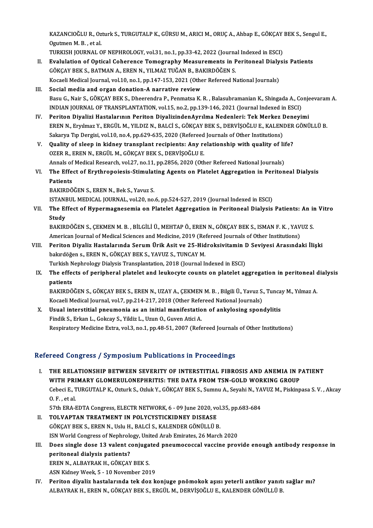KAZANCIOĞLU R., Ozturk S., TURGUTALP K., GÜRSU M., ARICI M., ORUÇ A., Ahbap E., GÖKÇAY BEK S., Sengul E.,<br>Qaytman M. B., et al KAZANCIOĞLU R., Oz<br>Ogutmen M. B. , et al.<br>TURKISH JOURNAL C KAZANCIOĞLU R., Ozturk S., TURGUTALP K., GÜRSU M., ARICI M., ORUÇ A., Ahbap E., GÖKÇAY<br>Ogutmen M. B. , et al.<br>TURKISH JOURNAL OF NEPHROLOGY, vol.31, no.1, pp.33-42, 2022 (Journal Indexed in ESCI)<br>Evalulation of Onticel Ceb

- Ogutmen M. B. , et al.<br>TURKISH JOURNAL OF NEPHROLOGY, vol.31, no.1, pp.33-42, 2022 (Journal Indexed in ESCI)<br>II. Evalulation of Optical Coherence Tomography Measurements in Peritoneal Dialysis Patients<br>CÖYCAV PEV S. BATMAN TURKISH JOURNAL OF NEPHROLOGY, vol.31, no.1, pp.33-42, 2022 (Journal Indexed in ESCI)<br>Evalulation of Optical Coherence Tomography Measurements in Peritoneal Dialys<br>GÖKÇAY BEK S., BATMAN A., EREN N., YILMAZ TUĞAN B., BAKIRD Evalulation of Optical Coherence Tomography Measurements in Peritoneal Dialy<br>GÖKÇAY BEK S., BATMAN A., EREN N., YILMAZ TUĞAN B., BAKIRDÖĞEN S.<br>Kocaeli Medical Journal, vol.10, no.1, pp.147-153, 2021 (Other Refereed Nationa
- III. Social media and organ donation-A narrative review Basu G., Nair S., GÖKÇAY BEK S., Dheerendra P., Penmatsa K. R., Balasubramanian K., Shingada A., Conjeevaram A. INDIANJOURNALOF TRANSPLANTATION,vol.15,no.2,pp.139-146,2021 (Journal Indexed inESCI) Basu G., Nair S., GÖKÇAY BEK S., Dheerendra P., Penmatsa K. R. , Balasubramanian K., Shingada A., Conje<br>INDIAN JOURNAL OF TRANSPLANTATION, vol.15, no.2, pp.139-146, 2021 (Journal Indexed in ESCI)<br>IV. Periton Diyalizi Hasta
- INDIAN JOURNAL OF TRANSPLANTATION, vol.15, no.2, pp.139-146, 2021 (Journal Indexed in ESCI)<br>Periton Diyalizi Hastalarının Periton DiyalizindenAyrılma Nedenleri: Tek Merkez Deneyimi<br>EREN N., Eryılmaz Y., ERGÜL M., YILDIZ N. Periton Diyalizi Hastalarının Periton DiyalizindenAyrılma Nedenleri: Tek Merkez I<br>EREN N., Eryılmaz Y., ERGÜL M., YILDIZ N., BALCİ S., GÖKÇAY BEK S., DERVİŞOĞLU E., KALEN<br>Sakarya Tıp Dergisi, vol.10, no.4, pp.629-635, 2020 EREN N., Eryilmaz Y., ERGÜL M., YILDIZ N., BALCİ S., GÖKÇAY BEK S., DERVİŞOĞLU E., KALENDER<br>Sakarya Tıp Dergisi, vol.10, no.4, pp.629-635, 2020 (Refereed Journals of Other Institutions)<br>V. Quality of sleep in kidney transp
- Sakarya Tıp Dergisi, vol.10, no.4, pp.629-635, 2020 (Refereed Journals of Other Institutions)<br>Quality of sleep in kidney transplant recipients: Any relationship with quality of l<br>OZER R., EREN N., ERGÜL M., GÖKÇAY BEK S., Quality of sleep in kidney transplant recipients: Any relationship with quality of lift<br>OZER R., EREN N., ERGÜL M., GÖKÇAY BEK S., DERVİŞOĞLU E.<br>Annals of Medical Research, vol.27, no.11, pp.2856, 2020 (Other Refereed Nati OZER R., EREN N., ERGÜL M., GÖKÇAY BEK S., DERVİŞOĞLU E.<br>Annals of Medical Research, vol.27, no.11, pp.2856, 2020 (Other Refereed National Journals)<br>VI. The Effect of Erythropoiesis-Stimulating Agents on Platelet Aggregati
- Annals of Medical Research, vol.27, no.11, pp.2856, 2020 (Other Refereed National Journals)<br>The Effect of Erythropoiesis-Stimulating Agents on Platelet Aggregation in Periton<br>Patients<br>BAKIRDÖĞEN S., EREN N., Bek S., Yavuz The Effect of Erythropoiesis-Stimulat<br>Patients<br>BAKIRDÖĞEN S., EREN N., Bek S., Yavuz S.<br>ISTANPUL MEDICAL JOUPNAL, vol 20, po

ISTANBUL MEDICAL JOURNAL, vol.20, no.6, pp.524-527, 2019 (Journal Indexed in ESCI)

BAKIRDÖĞEN S., EREN N., Bek S., Yavuz S.<br>ISTANBUL MEDICAL JOURNAL, vol.20, no.6, pp.524-527, 2019 (Journal Indexed in ESCI)<br>VII. The Effect of Hypermagnesemia on Platelet Aggregation in Peritoneal Dialysis Patients: An **ISTANE**<br>The Ef<br>Study<br>PAKIPI The Effect of Hypermagnesemia on Platelet Aggregation in Peritoneal Dialysis Patients: An in<br>Study<br>BAKIRDÖĞEN S., ÇEKMEN M. B. , BİLGİLİ Ü., MEHTAP Ö., EREN N., GÖKÇAY BEK S., ISMAN F. K. , YAVUZ S.<br>American Journal of Med

Study<br>BAKIRDÖĞEN S., ÇEKMEN M. B. , BİLGİLİ Ü., MEHTAP Ö., EREN N., GÖKÇAY BEK S., ISMAN F. K. , YAVUZ S.<br>American Journal of Medical Sciences and Medicine, 2019 (Refereed Journals of Other Institutions) BAKIRDÖĞEN S., ÇEKMEN M. B. , BİLGİLİ Ü., MEHTAP Ö., EREN N., GÖKÇAY BEK S., ISMAN F. K. , YAVUZ S.<br>American Journal of Medical Sciences and Medicine, 2019 (Refereed Journals of Other Institutions)<br>VIII. Periton Diyaliz Ha

- American Journal of Medical Sciences and Medicine, 2019 (Re<br>Periton Diyaliz Hastalarında Serum Ürik Asit ve 25-Hid<br>bakırdöğen s., EREN N., GÖKÇAY BEK S., YAVUZ S., TUNCAY M.<br>Turkich Nephrelegy Dialysis Transplantation, 201 Periton Diyaliz Hastalarında Serum Ürik Asit ve 25-Hidroksivitamin I<br>bakırdöğen s., EREN N., GÖKÇAY BEK S., YAVUZ S., TUNCAY M.<br>Turkish Nephrology Dialysis Transplantation, 2018 (Journal Indexed in ESCI)<br>The effects of ner Turkish Nephrology Dialysis Transplantation, 2018 (Journal Indexed in ESCI)
- bakırdöğen s., EREN N., GÖKÇAY BEK S., YAVUZ S., TUNCAY M.<br>Turkish Nephrology Dialysis Transplantation, 2018 (Journal Indexed in ESCI)<br>IX. The effects of peripheral platelet and leukocyte counts on platelet aggregation in The effects of peripheral platelet and leukocyte counts on platelet aggregation in peritoneal c<br>patients<br>BAKIRDÖĞEN S., GÖKÇAY BEK S., EREN N., UZAY A., ÇEKMEN M. B. , Bilgili Ü., Yavuz S., Tuncay M., Yılmaz A.<br>Kosaali Mad

patients<br>BAKIRDÖĞEN S., GÖKÇAY BEK S., EREN N., UZAY A., ÇEKMEN M. B. , Bilgili Ü., Yavuz S.<br>Kocaeli Medical Journal, vol.7, pp.214-217, 2018 (Other Refereed National Journals)<br>Havel interstitiel provmenia es en initial me BAKIRDÖĞEN S., GÖKÇAY BEK S., EREN N., UZAY A., ÇEKMEN M. B. , Bilgili Ü., Yavuz S., Tunca<br>Kocaeli Medical Journal, vol.7, pp.214-217, 2018 (Other Refereed National Journals)<br>X. Usual interstitial pneumonia as an initial m

Kocaeli Medical Journal, vol.7, pp.214-217, 2018 (Other Refereed National Journals)<br>X. Usual interstitial pneumonia as an initial manifestation of ankylosing spondylitis<br>Findik S., Erkan L., Gokcay S., Yildiz L., Uzun O., Respiratory Medicine Extra, vol.3, no.1, pp.48-51, 2007 (Refereed Journals of Other Institutions)

## Refereed Congress / Symposium Publications in Proceedings

- I. THE RELATIONSHIP BETWEEN SEVERITY OF INTERSTITIAL FIBROSIS AND ANEMIA IN PATIENT WITH PRIMARY GLOMERULONEPHRITIS: THE DATA FROM TSN-GOLD WORKING GROUP THE RELATIONSHIP BETWEEN SEVERITY OF INTERSTITIAL FIBROSIS AND ANEMIA IN PATIENT<br>WITH PRIMARY GLOMERULONEPHRITIS: THE DATA FROM TSN-GOLD WORKING GROUP<br>Cebeci E., TURGUTALP K., Ozturk S., Ozluk Y., GÖKÇAY BEK S., Sumnu A., **WITH PRI<br>Cebeci E., 1<br>O. F., et al.<br>57th FPA I** Cebeci E., TURGUTALP K., Ozturk S., Ozluk Y., GÖKÇAY BEK S., Sumnu A., Seyahi N., YA<br>O. F. , et al.<br>57th ERA-EDTA Congress, ELECTR NETWORK, 6 - 09 June 2020, vol.35, pp.683-684<br>TOLVARTAN TREATMENT IN POLYCYSTICKIDNEY DISEA O. F., et al.<br>57th ERA-EDTA Congress, ELECTR NETWORK, 6 - 09 June 2020, vo<br>II. TOLVAPTAN TREATMENT IN POLYCYSTICKIDNEY DISEASE<br>60YCAY PEKS, EREN N. Hely H. PALCIS, KALENDER GÖNÜLLÜ B
- 57th ERA-EDTA Congress, ELECTR NETWORK, 6 09 June 2020, volto **TOLVAPTAN TREATMENT IN POLYCYSTICKIDNEY DISEASE**<br>GÖKÇAY BEK S., EREN N., Uslu H., BALCİ S., KALENDER GÖNÜLLÜ B.<br>ISN Warld Congress of Naphrology, United Arab TOLVAPTAN TREATMENT IN POLYCYSTICKIDNEY DISEASE<br>GÖKÇAY BEK S., EREN N., Uslu H., BALCİ S., KALENDER GÖNÜLLÜ B.<br>ISN World Congress of Nephrology, United Arab Emirates, 26 March 2020<br>Dess single dese 13 yırlant seniyastad nn
- GÖKÇAY BEK S., EREN N., Uslu H., BALCİ S., KALENDER GÖNÜLLÜ B.<br>ISN World Congress of Nephrology, United Arab Emirates, 26 March 2020<br>III. Does single dose 13 valent conjugated pneumococcal vaccine provide enough antibo ISN World Congress of Nephrold<br>Does single dose 13 valent c<br>peritoneal dialysis patients?<br>EPEN N. ALBAYPAK H. GÖKCAY Does single dose 13 valent conjuga<br>peritoneal dialysis patients?<br>EREN N., ALBAYRAK H., GÖKÇAY BEK S.<br>ASN Kidney Week 5 - 10 Nevember 201 peritoneal dialysis patients?<br>EREN N., ALBAYRAK H., GÖKÇAY BEK S.<br>ASN Kidney Week, 5 - 10 November 2019<br>Periton divelir bastalarında tak dan k

EREN N., ALBAYRAK H., GÖKÇAY BEK S.<br>ASN Kidney Week, 5 - 10 November 2019<br>IV. Periton diyaliz hastalarında tek doz konjuge pnömokok aşısı yeterli antikor yanıtı sağlar mı?<br>ALBAYRAK H. EREN N. GÖKCAY BEK S. ERCÜL M. DERVISQ ASN Kidney Week, 5 - 10 November 2019<br>Periton diyaliz hastalarında tek doz konjuge pnömokok aşısı yeterli antikor yanıtı<br>ALBAYRAK H., EREN N., GÖKÇAY BEK S., ERGÜL M., DERVİŞOĞLU E., KALENDER GÖNÜLLÜ B.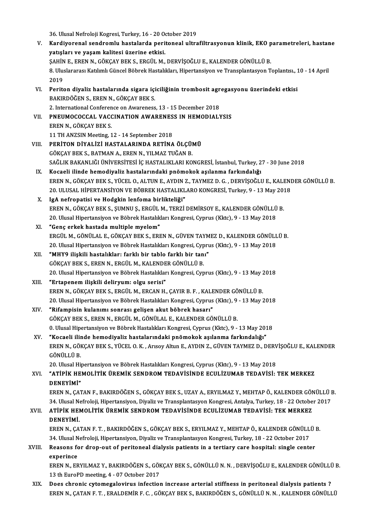26. Ulusal Nefroloji Kogresi, Turkey, 16 - 20 October 2019<br>Kandiyananal sandramlu bastalarda naritanaal ultra V. Kardiyorenal sendromlu hastalarda peritoneal ultrafiltrasyonun klinik, EKO parametreleri, hastane 36. Ulusal Nefroloji Kogresi, Turkey, 16 - 20 0<br>Kardiyorenal sendromlu hastalarda peri<br>yatışları ve yaşam kalitesi üzerine etkisi.<br>SAHİN E. EREN N. GÖKCAV REK S. ERÇÜL M Kardiyorenal sendromlu hastalarda peritoneal ultrafiltrasyonun klinik, EKO p<br>yatışları ve yaşam kalitesi üzerine etkisi.<br>ŞAHİN E., EREN N., GÖKÇAY BEK S., ERGÜL M., DERVİŞOĞLU E., KALENDER GÖNÜLLÜ B.<br>9. Uluqlararecı Katlım 8. Uluslararası Katılımlı Güncel Böbrek Hastalıkları, Hipertansiyon ve Transplantasyon Toplantısı., 10 - 14 April<br>2019 SAHIN<br>8. Ulus<br>2019<br>Borite 8. Uluslararası Katılımlı Güncel Böbrek Hastalıkları, Hipertansiyon ve Transplantasyon Toplantısı., 1<br>2019<br>VI. Periton diyaliz hastalarında sigara içiciliğinin trombosit agregasyonu üzerindeki etkisi<br>PAKIPDÖĞEN S. EREN N. 2019<br>Periton diyaliz hastalarında sigara içi<br>BAKIRDÖĞEN S., EREN N., GÖKÇAY BEK S.<br>2. International Conference on Avrarences Periton diyaliz hastalarında sigara içiciliğinin trombosit agr<br>BAKIRDÖĞEN S., EREN N., GÖKÇAY BEK S.<br>2. International Conference on Awareness, 13 - 15 December 2018<br>BNEUMOCOCCAL VACCINATION AWARENESS IN UEMODIALY BAKIRDÖĞEN S., EREN N., GÖKÇAY BEK S.<br>2. International Conference on Awareness, 13 - 15 December 2018<br>VII. PNEUMOCOCCAL VACCINATION AWARENESS IN HEMODIALYSIS EREN N., GÖKÇAY BEK S. 11THANZSINMeeting,12 -14 September 2018 VIII. PERİTON DİYALİZİ HASTALARINDA RETİNA ÖLÇÜMÜ GÖKÇAY BEK S., BATMAN A., EREN N., YILMAZ TUĞAN B. PERİTON DİYALİZİ HASTALARINDA RETİNA ÖLÇÜMÜ<br>GÖKÇAY BEK S., BATMAN A., EREN N., YILMAZ TUĞAN B.<br>SAĞLIK BAKANLIĞI ÜNİVERSİTESİ İÇ HASTALIKLARI KONGRESİ, İstanbul, Turkey, 27 - 30 June 2018<br>Kosaali ilinde bamadiyalir hastalan GÖKÇAY BEK S., BATMAN A., EREN N., YILMAZ TUĞAN B.<br>SAĞLIK BAKANLIĞI ÜNİVERSİTESİ İÇ HASTALIKLARI KONGRESİ, İstanbul, Turkey, 2<br>IX. Kocaeli ilinde hemodiyaliz hastalarındaki pnömokok aşılanma farkındalığı<br>EREN N. GÖKÇAY BEK SAĞLIK BAKANLIĞI ÜNİVERSİTESİ İÇ HASTALIKLARI KONGRESİ, İstanbul, Turkey, 27 - 30 June 2018<br>Kocaeli ilinde hemodiyaliz hastalarındaki pnömokok aşılanma farkındalığı<br>EREN N., GÖKÇAY BEK S., YÜCEL O., ALTUN E., AYDIN Z., TAY Kocaeli ilinde hemodiyaliz hastalarındaki pnömokok aşılanma farkındalığı<br>EREN N., GÖKÇAY BEK S., YÜCEL O., ALTUN E., AYDIN Z., TAYMEZ D. G. , DERVİŞOĞLU E., KALENI<br>20. ULUSAL HİPERTANSİYON VE BÖBREK HASTALIKLARO KONGRESİ, 20. ULUSAL HİPERTANSİYON VE BÖBREK HASTALIKLARO KONGRESİ, Turkey, 9 - 13 May 2018<br>X. İgA nefropatisi ve Hodgkin lenfoma birlikteliği" 20. ULUSAL HİPERTANSİYON VE BÖBREK HASTALIKLARO KONGRESİ, Turkey, 9 - 13 May 201<br>IgA nefropatisi ve Hodgkin lenfoma birlikteliği"<br>EREN N., GÖKÇAY BEK S., ŞUMNU Ş., ERGÜL M., TERZİ DEMİRSOY E., KALENDER GÖNÜLLÜ B.<br>20. Ulusa IgA nefropatisi ve Hodgkin lenfoma birlikteliği"<br>EREN N., GÖKÇAY BEK S., ŞUMNU Ş., ERGÜL M., TERZİ DEMİRSOY E., KALENDER GÖNÜLLÜ<br>20. Ulusal Hipertansiyon ve Böbrek Hastalıkları Kongresi, Cyprus (Kktc), 9 - 13 May 2018<br>"Can EREN N., GÖKÇAY BEK S., ŞUMNU Ş., ERGÜL<br>20. Ulusal Hipertansiyon ve Böbrek Hastalık<br>XI. "Genç erkek hastada multiple myelom"<br>EPCÜL M. CÖNÜLAL E. CÖKCAY PEK S. EPL 20. Ulusal Hipertansiyon ve Böbrek Hastalıkları Kongresi, Cyprus (Kktc), 9 - 13 May 2018<br>XI. "Genç erkek hastada multiple myelom"<br>ERGÜL M., GÖNÜLAL E., GÖKÇAY BEK S., EREN N., GÜVEN TAYMEZ D., KALENDER GÖNÜLLÜ B. **"Genç erkek hastada multiple myelom"**<br>ERGÜL M., GÖNÜLAL E., GÖKÇAY BEK S., EREN N., GÜVEN TAYMEZ D., KALENDER GÖNÜLL<br>20. Ulusal Hipertansiyon ve Böbrek Hastalıkları Kongresi, Cyprus (Kktc), 9 - 13 May 2018<br>"MHVQ ilişkili XI . "MHY9 ilişkili hastalıklar: farklı bir tablo farklı bir tanı" 20. Ulusal Hipertansiyon ve Böbrek Hastalıkları Kongresi, Cyp<br>**"MHY9 ilişkili hastalıklar: farklı bir tablo farklı bir tan**<br>GÖKÇAY BEK S., EREN N., ERGÜL M., KALENDER GÖNÜLLÜ B.<br>20. Ulusal Hipertansiyon ve Böhrek Hestalıkl 20. "MHY9 ilişkili hastalıklar: farklı bir tablo farklı bir tanı"<br>GÖKÇAY BEK S., EREN N., ERGÜL M., KALENDER GÖNÜLLÜ B.<br>20. Ulusal Hipertansiyon ve Böbrek Hastalıkları Kongresi, Cyprus (Kktc), 9 - 13 May 2018<br>20. Ulusal Hi GÖKÇAY BEK S., EREN N., ERGÜL M., KALENDER GÖNÜLLÜ B.<br>20. Ulusal Hipertansiyon ve Böbrek Hastalıkları Kongresi, Cyp<br>XIII. "Ertapenem iliskili delirvum: olgu serisi" 20. Ulusal Hipertansiyon ve Böbrek Hastalıkları Kongresi, Cyprus (Kktc), 9 - 13 May 2<br>**"Ertapenem ilişkili deliryum: olgu serisi"**<br>EREN N., GÖKÇAY BEK S., ERGÜL M., ERCAN H., ÇAYIR B. F. , KALENDER GÖNÜLLÜ B.<br>20. Ulusal Hi "Ertapenem ilişkili deliryum: olgu serisi"<br>EREN N., GÖKÇAY BEK S., ERGÜL M., ERCAN H., ÇAYIR B. F. , KALENDER GÖNÜLLÜ B.<br>20. Ulusal Hipertansiyon ve Böbrek Hastalıkları Kongresi, Cyprus (Kktc), 9 - 13 May 2018<br>"Bifomniain EREN N., GÖKÇAY BEK S., ERGÜL M., ERCAN H., ÇAYIR B. F. , KALE<br>20. Ulusal Hipertansiyon ve Böbrek Hastalıkları Kongresi, Cyprus<br>XIV. "Rifampisin kulanımı sonrası gelişen akut böbrek hasarı"<br>CÖKÇAY PEK S. EREN N. ERÇÜL 20. Ulusal Hipertansiyon ve Böbrek Hastalıkları Kongresi, Cyprus (Kktc), 9 - 13 May 2018<br>"Rifampisin kulanımı sonrası gelişen akut böbrek hasarı"<br>GÖKÇAY BEK S., EREN N., ERGÜL M., GÖNÜLAL E., KALENDER GÖNÜLLÜ B. 0. Ulusal Hipertansiyon ve Böbrek Hastalıkları Kongresi, Cyprus (Kktc), 9 - 13 May 2018 GÖKÇAY BEK S., EREN N., ERGÜL M., GÖNÜLAL E., KALENDER GÖNÜLLÜ B.<br>0. Ulusal Hipertansiyon ve Böbrek Hastalıkları Kongresi, Cyprus (Kktc), 9 - 13 May 201<br>XV. "Kocaeli ilinde hemodiyaliz hastalarındaki pnömokok aşılanma fark 0. Ulusal Hipertansiyon ve Böbrek Hastalıkları Kongresi, Cyprus (Kktc), 9 - 13 May 2018<br>"Kocaeli ilinde hemodiyaliz hastalarındaki pnömokok aşılanma farkındalığı"<br>EREN N., GÖKÇAY BEK S., YÜCEL O. K. , Arısoy Altun E., AYDI "<mark>Kocaeli ilir</mark><br>EREN N., GÖI<br>GÖNÜLLÜ B.<br>20. Ulusel Hi EREN N., GÖKÇAY BEK S., YÜCEL O. K. , Arısoy Altun E., AYDIN Z., GÜVEN TAYMEZ D., DERV<br>GÖNÜLLÜ B.<br>20. Ulusal Hipertansiyon ve Böbrek Hastalıkları Kongresi, Cyprus (Kktc), 9 - 13 May 2018<br>"ATİBİK HEMOL İTİK ÜBEMİK SENDBOM T GÖNÜLLÜ B.<br>20. Ulusal Hipertansiyon ve Böbrek Hastalıkları Kongresi, Cyprus (Kktc), 9 - 13 May 2018<br>XVI. "ATİPİK HEMOLİTİK ÜREMİK SENDROM TEDAVİSİNDE ECULİZUMAB TEDAVİSİ: TEK MERKEZ<br>DENEVİMİ" 20. Ulusal Hi<mark>j</mark><br>**"ATİPİK HE**<br>DENEYİMİ"<br>EPEN N. CAT DENEYİMİ"<br>EREN N., ÇATAN F., BAKIRDÖĞEN S., GÖKÇAY BEK S., UZAY A., ERYILMAZ Y., MEHTAP Ö., KALENDER GÖNÜLLÜ B. DENEYİMİ"<br>EREN N., ÇATAN F., BAKIRDÖĞEN S., GÖKÇAY BEK S., UZAY A., ERYILMAZ Y., MEHTAP Ö., KALENDER GÖNÜLLÜ I<br>34. Ulusal Nefroloji, Hipertansiyon, Diyaliz ve Transplantasyon Kongresi, Antalya, Turkey, 18 - 22 October 2017 EREN N., ÇATAN F., BAKIRDÖĞEN S., GÖKÇAY BEK S., UZAY A., ERYILMAZ Y., MEHTAP Ö., KALENDER GÖN<br>34. Ulusal Nefroloji, Hipertansiyon, Diyaliz ve Transplantasyon Kongresi, Antalya, Turkey, 18 - 22 Octobe<br>XVII. ATİPİK HEMO 34. Ulusal Ne<br><mark>ATİPİK HEI</mark><br>DENEYİMİ.<br>EREN N. GA' ATİPİK HEMOLİTİK ÜREMİK SENDROM TEDAVİSİNDE ECULİZUMAB TEDAVİSİ: TEK MERKEZ<br>DENEYİMİ.<br>EREN N., ÇATAN F. T. , BAKIRDÖĞEN S., GÖKÇAY BEK S., ERYILMAZ Y., MEHTAP Ö., KALENDER GÖNÜLLÜ B.<br>24 Hlucal Nefraloji Hinertangiyen Diyal DENEYİMİ.<br>EREN N., CATAN F. T. , BAKIRDÖĞEN S., GÖKCAY BEK S., ERYILMAZ Y., MEHTAP Ö., KALENDER GÖNÜLLÜ B. XVIII. Reasons for drop-out of peritoneal dialysis patients in a tertiary care hospital: single center<br>experince 34. Ulusal Nefroloji, Hipertansiyon, Diyaliz ve Transplantasyon Kongresi, Turkey, 18 - 22 October 2017 Reasons for drop-out of peritoneal dialysis patients in a tertiary care hospital: single center<br>experince<br>EREN N., ERYILMAZ Y., BAKIRDÖĞEN S., GÖKÇAY BEK S., GÖNÜLLÜ N. N. , DERVİŞOĞLU E., KALENDER GÖNÜLLÜ B.<br>12 th EuroPD experince<br>EREN N., ERYILMAZ Y., BAKIRDÖĞEN S., GÖF<br>13 th EuroPD meeting, 4 - 07 October 2017<br>Dees shnanis sutamagalexinus infection EREN N., ERYILMAZ Y., BAKIRDÖĞEN S., GÖKÇAY BEK S., GÖNÜLLÜ N. N. , DERVİŞOĞLU E., KALENDER GÖNÜLLÜ<br>13 th EuroPD meeting, 4 - 07 October 2017<br>XIX. Does chronic cytomegalovirus infection increase arterial stiffness in perit 13 th EuroPD meeting, 4 - 07 October 2017<br>Does chronic cytomegalovirus infection increase arterial stiffness in peritoneal dialysis patients ?<br>EREN N., ÇATAN F. T. , ERALDEMİR F. C. , GÖKÇAY BEK S., BAKIRDÖĞEN S., GÖNÜLLÜ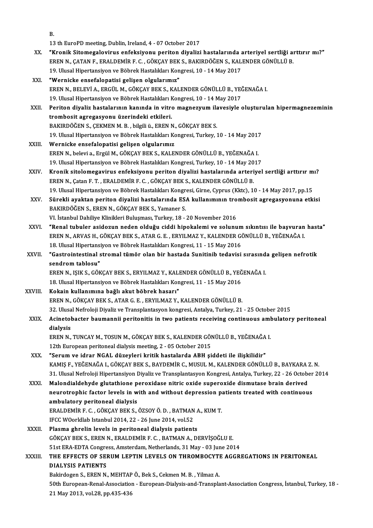|             | В.                                                                                                            |
|-------------|---------------------------------------------------------------------------------------------------------------|
|             | 13 th EuroPD meeting, Dublin, Ireland, 4 - 07 October 2017                                                    |
| XX.         | "Kronik Sitomegalovirus enfeksiyonu periton diyalizi hastalarında arteriyel sertliği arttırır mı?"            |
|             | EREN N., ÇATAN F., ERALDEMİR F. C., GÖKÇAY BEK S., BAKIRDÖĞEN S., KALENDER GÖNÜLLÜ B.                         |
|             | 19. Ulusal Hipertansiyon ve Böbrek Hastalıkları Kongresi, 10 - 14 May 2017                                    |
| XXI.        | "Wernicke ensefalopatisi gelişen olgularımız"                                                                 |
|             | EREN N., BELEVİ A., ERGÜL M., GÖKÇAY BEK S., KALENDER GÖNÜLLÜ B., YEĞENAĞA I.                                 |
|             | 19. Ulusal Hipertansiyon ve Böbrek Hastalıkları Kongresi, 10 - 14 May 2017                                    |
| XXII.       | Periton diyaliz hastalarının kanında in vitro magnezyum ilavesiyle oluşturulan hipermagnezeminin              |
|             | trombosit agregasyonu üzerindeki etkileri.                                                                    |
|             | BAKIRDÖĞEN S., ÇEKMEN M. B., bilgili ü., EREN N., GÖKÇAY BEK S.                                               |
|             | 19. Ulusal Hipertansiyon ve Böbrek Hastalıkları Kongresi, Turkey, 10 - 14 May 2017                            |
| XXIII.      | Wernicke ensefalopatisi gelişen olgularımız                                                                   |
|             | EREN N., belevi a., Ergül M., GÖKÇAY BEK S., KALENDER GÖNÜLLÜ B., YEĞENAĞA I.                                 |
|             | 19. Ulusal Hipertansiyon ve Böbrek Hastalıkları Kongresi, Turkey, 10 - 14 May 2017                            |
| XXIV.       | Kronik sitolomegavirus enfeksiyonu periton diyalizi hastalarında arteriyel sertliği arttırır mı?              |
|             | EREN N., Çatan F. T., ERALDEMİR F. C., GÖKÇAY BEK S., KALENDER GÖNÜLLÜ B.                                     |
|             | 19. Ulusal Hipertansiyon ve Böbrek Hastalıkları Kongresi, Girne, Cyprus (Kktc), 10 - 14 May 2017, pp.15       |
| XXV.        | Sürekli ayaktan periton diyalizi hastalarında ESA kullanımının trombosit agregasyonuna etkisi                 |
|             | BAKIRDÖĞEN S., EREN N., GÖKÇAY BEK S., Yamaner S.                                                             |
|             | VI. İstanbul Dahiliye Klinikleri Buluşması, Turkey, 18 - 20 November 2016                                     |
| XXVI.       | "Renal tubuler asidozun neden olduğu ciddi hipokalemi ve solunum sıkıntısı ile başvuran hasta"                |
|             | EREN N., ARVAS H., GÖKÇAY BEK S., ATAR G. E. , ERYILMAZ Y., KALENDER GÖNÜLLÜ B., YEĞENAĞA I.                  |
|             | 18. Ulusal Hipertansiyon ve Böbrek Hastalıkları Kongresi, 11 - 15 May 2016                                    |
| XXVII.      | "Gastrointestinal stromal tümör olan bir hastada Sunitinib tedavisi sırasında gelişen nefrotik                |
|             | sendrom tablosu"                                                                                              |
|             | EREN N., IŞIK S., GÖKÇAY BEK S., ERYILMAZ Y., KALENDER GÖNÜLLÜ B., YEĞENAĞA I.                                |
|             | 18. Ulusal Hipertansiyon ve Böbrek Hastalıkları Kongresi, 11 - 15 May 2016                                    |
| XXVIII      | Kokain kullanımına bağlı akut böbrek hasarı"                                                                  |
|             | EREN N., GÖKÇAY BEK S., ATAR G. E., ERYILMAZ Y., KALENDER GÖNÜLLÜ B.                                          |
|             | 32. Ulusal Nefroloji Diyaliz ve Transplantasyon kongresi, Antalya, Turkey, 21 - 25 October 2015               |
| <b>XXIX</b> | Acinetobacter baumannii peritonitis in two patients receiving continuous ambulatory peritoneal                |
|             | dialysis                                                                                                      |
|             | EREN N., TUNCAY M., TOSUN M., GÖKÇAY BEK S., KALENDER GÖNÜLLÜ B., YEĞENAĞA I.                                 |
|             | 12th European peritoneal dialysis meeting, 2 - 05 October 2015                                                |
| XXX.        | "Serum ve idrar NGAL düzeyleri kritik hastalarda ABH şiddeti ile ilişkilidir"                                 |
|             | KAMIŞ F., YEĞENAĞA I., GÖKÇAY BEK S., BAYDEMİR C., MUSUL M., KALENDER GÖNÜLLÜ B., BAYKARA Z. N.               |
|             | 31. Ulusal Nefroloji Hipertansiyon Diyaliz ve Transplantasyon Kongresi, Antalya, Turkey, 22 - 26 October 2014 |
| XXXI.       | Malondialdehyde glutathione peroxidase nitric oxide superoxide dismutase brain derived                        |
|             | neurotrophic factor levels in with and without depression patients treated with continuous                    |
|             | ambulatory peritoneal dialysis                                                                                |
|             | ERALDEMİR F. C., GÖKÇAY BEK S., ÖZSOY Ö. D., BATMAN A., KUM T.                                                |
|             | IFCC WOorldlab Istanbul 2014, 22 - 26 June 2014, vol.52                                                       |
| XXXII.      | Plasma ghrelin levels in peritoneal dialysis patients                                                         |
|             | GÖKÇAY BEK S., EREN N., ERALDEMİR F. C. , BATMAN A., DERVİŞOĞLU E.                                            |
|             | 51st ERA-EDTA Congress, Amsterdam, Netherlands, 31 May - 03 June 2014                                         |
| XXXIII.     | THE EFFECTS OF SERUM LEPTIN LEVELS ON THROMBOCYTE AGGREGATIONS IN PERITONEAL                                  |
|             | DIALYSIS PATIENTS                                                                                             |
|             | Bakirdogen S., EREN N., MEHTAP Ö., Bek S., Cekmen M. B., Yilmaz A.                                            |
|             | 50th European-Renal-Association - European-Dialysis-and-Transplant-Association Congress, İstanbul, Turkey, 18 |
|             | 21 May 2013, vol.28, pp.435-436                                                                               |